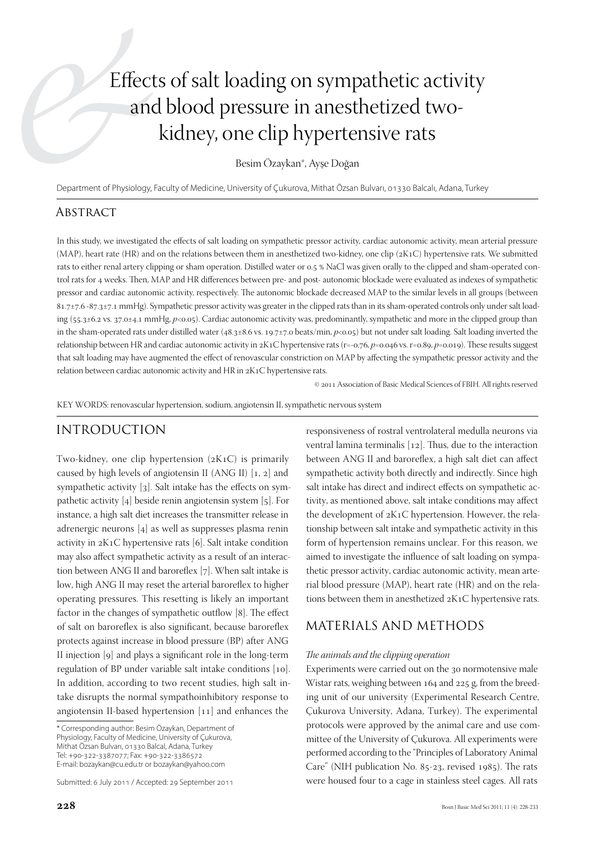# Effects of salt loading on sympathetic activity and blood pressure in anesthetized twokidney, one clip hypertensive rats

Besim Özaykan\*, Ayşe Doğan

Department of Physiology, Faculty of Medicine, University of Çukurova, Mithat Özsan Bulvarı, 01330 Balcalı, Adana, Turkey

#### **ABSTRACT**

In this study, we investigated the effects of salt loading on sympathetic pressor activity, cardiac autonomic activity, mean arterial pressure (MAP), heart rate (HR) and on the relations between them in anesthetized two-kidney, one clip (2K1C) hypertensive rats. We submitted rats to either renal artery clipping or sham operation. Distilled water or 0.5 % NaCl was given orally to the clipped and sham-operated control rats for 4 weeks. Then, MAP and HR differences between pre- and post- autonomic blockade were evaluated as indexes of sympathetic pressor and cardiac autonomic activity, respectively. The autonomic blockade decreased MAP to the similar levels in all groups (between 81.7±7.6 -87.3±7.1 mmHg). Sympathetic pressor activity was greater in the clipped rats than in its sham-operated controls only under salt loading (55.3±6.2 vs. 37.0±4.1 mmHg, *p*<0.05). Cardiac autonomic activity was, predominantly, sympathetic and more in the clipped group than in the sham-operated rats under distilled water (48.3±8.6 vs. 19.7±7.0 beats/min, *p*<0.05) but not under salt loading. Salt loading inverted the relationship between HR and cardiac autonomic activity in 2K1C hypertensive rats (r=-0.76, *p*=0.046 vs. r=0.89, *p*=0.019). These results suggest that salt loading may have augmented the effect of renovascular constriction on MAP by affecting the sympathetic pressor activity and the relation between cardiac autonomic activity and HR in 2K1C hypertensive rats.

© 2011 Association of Basic Medical Sciences of FBIH. All rights reserved

KEY WORDS: renovascular hypertension, sodium, angiotensin II, sympathetic nervous system

## Introduction

Two-kidney, one clip hypertension (2K1C) is primarily caused by high levels of angiotensin II (ANG II) [1, 2] and sympathetic activity [3]. Salt intake has the effects on sympathetic activity [4] beside renin angiotensin system [5]. For instance, a high salt diet increases the transmitter release in adrenergic neurons [4] as well as suppresses plasma renin activity in 2K1C hypertensive rats [6]. Salt intake condition may also affect sympathetic activity as a result of an interaction between ANG II and baroreflex [7]. When salt intake is low, high ANG II may reset the arterial baroreflex to higher operating pressures. This resetting is likely an important factor in the changes of sympathetic outflow [8]. The effect of salt on baroreflex is also significant, because baroreflex protects against increase in blood pressure (BP) after ANG II injection [9] and plays a significant role in the long-term regulation of BP under variable salt intake conditions [10]. In addition, according to two recent studies, high salt intake disrupts the normal sympathoinhibitory response to angiotensin II-based hypertension [11] and enhances the

\* Corresponding author: Besim Özaykan, Department of Physiology, Faculty of Medicine, University of Çukurova, Mithat Özsan Bulvarı, 01330 Balcal, Adana, Turkey Tel: +90-322-3387077; Fax: +90-322-3386572 E-mail: bozaykan@cu.edu.tr or bozaykan@yahoo.com

Submitted: 6 July 2011 / Accepted: 29 September 2011

responsiveness of rostral ventrolateral medulla neurons via ventral lamina terminalis [12]. Thus, due to the interaction between ANG II and baroreflex, a high salt diet can affect sympathetic activity both directly and indirectly. Since high salt intake has direct and indirect effects on sympathetic activity, as mentioned above, salt intake conditions may affect the development of 2K1C hypertension. However, the relationship between salt intake and sympathetic activity in this form of hypertension remains unclear. For this reason, we aimed to investigate the influence of salt loading on sympathetic pressor activity, cardiac autonomic activity, mean arterial blood pressure (MAP), heart rate (HR) and on the relations between them in anesthetized 2K1C hypertensive rats.

### Materials and Methods

#### *The animals and the clipping operation*

Experiments were carried out on the 30 normotensive male Wistar rats, weighing between 164 and 225 g, from the breeding unit of our university (Experimental Research Centre, Çukurova University, Adana, Turkey). The experimental protocols were approved by the animal care and use committee of the University of Çukurova. All experiments were performed according to the "Principles of Laboratory Animal Care" (NIH publication No. 85-23, revised 1985). The rats were housed four to a cage in stainless steel cages. All rats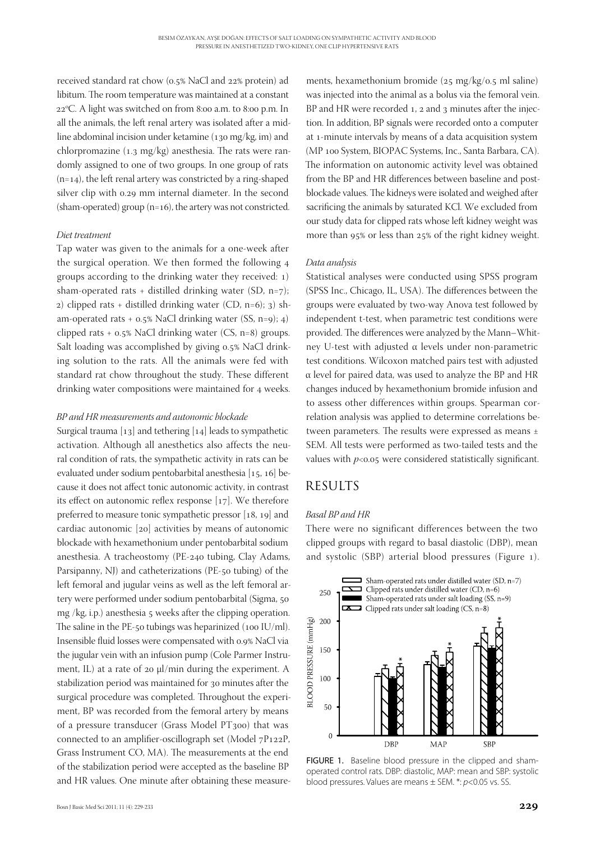received standard rat chow (0.5% NaCl and 22% protein) ad libitum. The room temperature was maintained at a constant 22°C. A light was switched on from 8:00 a.m. to 8:00 p.m. In all the animals, the left renal artery was isolated after a midline abdominal incision under ketamine (130 mg/kg, im) and chlorpromazine (1.3 mg/kg) anesthesia. The rats were randomly assigned to one of two groups. In one group of rats  $(n=14)$ , the left renal artery was constricted by a ring-shaped silver clip with 0.29 mm internal diameter. In the second (sham-operated) group  $(n=16)$ , the artery was not constricted.

#### *Diet treatment*

Tap water was given to the animals for a one-week after the surgical operation. We then formed the following 4 groups according to the drinking water they received: 1) sham-operated rats + distilled drinking water (SD, n=7); 2) clipped rats + distilled drinking water (CD, n=6); 3) sham-operated rats + 0.5% NaCl drinking water (SS, n=9); 4) clipped rats + 0.5% NaCl drinking water (CS, n=8) groups. Salt loading was accomplished by giving 0.5% NaCl drinking solution to the rats. All the animals were fed with standard rat chow throughout the study. These different drinking water compositions were maintained for 4 weeks.

#### *BP and HR measurements and autonomic blockade*

Surgical trauma [13] and tethering [14] leads to sympathetic activation. Although all anesthetics also affects the neural condition of rats, the sympathetic activity in rats can be evaluated under sodium pentobarbital anesthesia [15, 16] because it does not affect tonic autonomic activity, in contrast its effect on autonomic reflex response [17]. We therefore preferred to measure tonic sympathetic pressor [18, 19] and cardiac autonomic [20] activities by means of autonomic blockade with hexamethonium under pentobarbital sodium anesthesia. A tracheostomy (PE-240 tubing, Clay Adams, Parsipanny, NJ) and catheterizations (PE-50 tubing) of the left femoral and jugular veins as well as the left femoral artery were performed under sodium pentobarbital (Sigma, 50 mg /kg, i.p.) anesthesia 5 weeks after the clipping operation. The saline in the PE-50 tubings was heparinized (100 IU/ml). Insensible fluid losses were compensated with 0.9% NaCl via the jugular vein with an infusion pump (Cole Parmer Instrument, IL) at a rate of 20 µl/min during the experiment. A stabilization period was maintained for 30 minutes after the surgical procedure was completed. Throughout the experiment, BP was recorded from the femoral artery by means of a pressure transducer (Grass Model PT300) that was connected to an amplifier-oscillograph set (Model 7P122P, Grass Instrument CO, MA). The measurements at the end of the stabilization period were accepted as the baseline BP and HR values. One minute after obtaining these measure-

ments, hexamethonium bromide (25 mg/kg/0.5 ml saline) was injected into the animal as a bolus via the femoral vein. BP and HR were recorded 1, 2 and 3 minutes after the injection. In addition, BP signals were recorded onto a computer at 1-minute intervals by means of a data acquisition system (MP 100 System, BIOPAC Systems, Inc., Santa Barbara, CA). The information on autonomic activity level was obtained from the BP and HR differences between baseline and postblockade values. The kidneys were isolated and weighed after sacrificing the animals by saturated KCl. We excluded from our study data for clipped rats whose left kidney weight was more than 95% or less than 25% of the right kidney weight.

#### *Data analysis*

Statistical analyses were conducted using SPSS program (SPSS Inc., Chicago, IL, USA). The differences between the groups were evaluated by two-way Anova test followed by independent t-test, when parametric test conditions were provided. The differences were analyzed by the Mann–Whitney U-test with adjusted α levels under non-parametric test conditions. Wilcoxon matched pairs test with adjusted α level for paired data, was used to analyze the BP and HR changes induced by hexamethonium bromide infusion and to assess other differences within groups. Spearman correlation analysis was applied to determine correlations between parameters. The results were expressed as means ± SEM. All tests were performed as two-tailed tests and the values with  $p<0.05$  were considered statistically significant.

## **RESULTS**

#### *Basal BP and HR*

There were no significant differences between the two clipped groups with regard to basal diastolic (DBP), mean and systolic (SBP) arterial blood pressures (Figure 1).



FIGURE 1. Baseline blood pressure in the clipped and shamoperated control rats. DBP: diastolic, MAP: mean and SBP: systolic blood pressures. Values are means ± SEM. \*: *p*<0.05 vs. SS.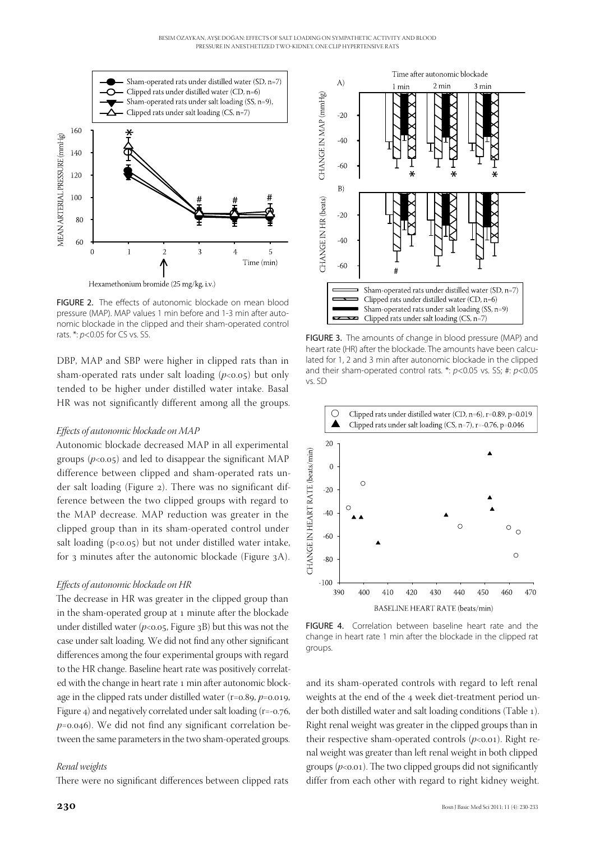

FIGURE 2. The effects of autonomic blockade on mean blood pressure (MAP). MAP values 1 min before and 1-3 min after autonomic blockade in the clipped and their sham-operated control rats. \*:  $p$ <0.05 for CS vs. SS. FIGURE 3. The amounts of change in blood pressure (MAP) and

DBP, MAP and SBP were higher in clipped rats than in sham-operated rats under salt loading  $(p<0.05)$  but only tended to be higher under distilled water intake. Basal HR was not significantly different among all the groups.

#### *Effects of autonomic blockade on MAP*

Autonomic blockade decreased MAP in all experimental groups  $(p<0.05)$  and led to disappear the significant MAP difference between clipped and sham-operated rats under salt loading (Figure 2). There was no significant difference between the two clipped groups with regard to the MAP decrease. MAP reduction was greater in the clipped group than in its sham-operated control under salt loading  $(p<0.05)$  but not under distilled water intake, for 3 minutes after the autonomic blockade (Figure 3A).

#### *Effects of autonomic blockade on HR*

The decrease in HR was greater in the clipped group than in the sham-operated group at 1 minute after the blockade under distilled water  $(p<0.05,$  Figure 3B) but this was not the case under salt loading. We did not find any other significant differences among the four experimental groups with regard to the HR change. Baseline heart rate was positively correlated with the change in heart rate 1 min after autonomic blockage in the clipped rats under distilled water (r=0.89, *p*=0.019, Figure 4) and negatively correlated under salt loading (r=-0.76, *p*=0.046). We did not find any significant correlation between the same parameters in the two sham-operated groups.

#### *Renal weights*

There were no significant differences between clipped rats



heart rate (HR) after the blockade. The amounts have been calculated for 1, 2 and 3 min after autonomic blockade in the clipped and their sham-operated control rats. \*: *p*<0.05 vs. SS; #: *p*<0.05 vs. SD



FIGURE 4. Correlation between baseline heart rate and the change in heart rate 1 min after the blockade in the clipped rat groups.

and its sham-operated controls with regard to left renal weights at the end of the 4 week diet-treatment period under both distilled water and salt loading conditions (Table 1). Right renal weight was greater in the clipped groups than in their respective sham-operated controls  $(p<0.01)$ . Right renal weight was greater than left renal weight in both clipped groups  $(p<0.01)$ . The two clipped groups did not significantly differ from each other with regard to right kidney weight.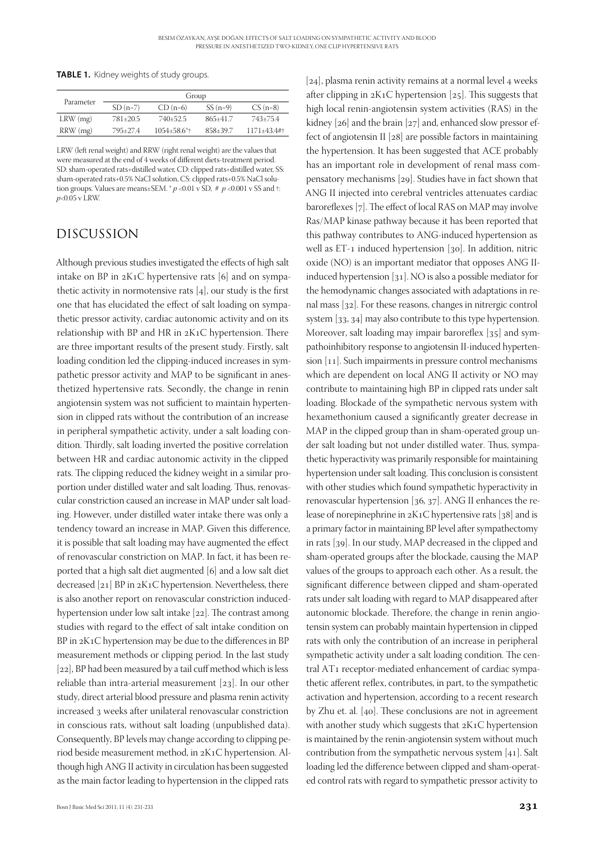**TABLE 1.** Kidney weights of study groups.

| Parameter  | Group     |                            |            |                |
|------------|-----------|----------------------------|------------|----------------|
|            | $SD(n=7)$ | $CD(n=6)$                  | $SS(n=9)$  | $CS(n=8)$      |
| $LRW$ (mg) | 781+20.5  | 740+52.5                   | $865+41.7$ | 743+75.4       |
| RRW (mg)   | 795+27.4  | $1054 + 58.6$ <sup>*</sup> | 858+39.7   | $1171 + 43.4#$ |

LRW (left renal weight) and RRW (right renal weight) are the values that were measured at the end of 4 weeks of different diets-treatment period. SD: sham-operated rats+distilled water, CD: clipped rats+distilled water, SS: sham-operated rats+0.5% NaCl solution, CS: clipped rats+0.5% NaCl solution groups. Values are means±SEM.  $p$  <0.01 v SD,  $\#$   $p$  <0.001 v SS and  $\dagger$ : *p*<0.05 v LRW.

## Discussion

Although previous studies investigated the effects of high salt intake on BP in 2K1C hypertensive rats [6] and on sympathetic activity in normotensive rats [4], our study is the first one that has elucidated the effect of salt loading on sympathetic pressor activity, cardiac autonomic activity and on its relationship with BP and HR in 2K1C hypertension. There are three important results of the present study. Firstly, salt loading condition led the clipping-induced increases in sympathetic pressor activity and MAP to be significant in anesthetized hypertensive rats. Secondly, the change in renin angiotensin system was not sufficient to maintain hypertension in clipped rats without the contribution of an increase in peripheral sympathetic activity, under a salt loading condition. Thirdly, salt loading inverted the positive correlation between HR and cardiac autonomic activity in the clipped rats. The clipping reduced the kidney weight in a similar proportion under distilled water and salt loading. Thus, renovascular constriction caused an increase in MAP under salt loading. However, under distilled water intake there was only a tendency toward an increase in MAP. Given this difference, it is possible that salt loading may have augmented the effect of renovascular constriction on MAP. In fact, it has been reported that a high salt diet augmented [6] and a low salt diet decreased [21] BP in 2K1C hypertension. Nevertheless, there is also another report on renovascular constriction inducedhypertension under low salt intake [22]. The contrast among studies with regard to the effect of salt intake condition on BP in 2K1C hypertension may be due to the differences in BP measurement methods or clipping period. In the last study [22], BP had been measured by a tail cuff method which is less reliable than intra-arterial measurement [23]. In our other study, direct arterial blood pressure and plasma renin activity increased 3 weeks after unilateral renovascular constriction in conscious rats, without salt loading (unpublished data). Consequently, BP levels may change according to clipping period beside measurement method, in 2K1C hypertension. Although high ANG II activity in circulation has been suggested as the main factor leading to hypertension in the clipped rats

[24], plasma renin activity remains at a normal level 4 weeks after clipping in 2K1C hypertension [25]. This suggests that high local renin-angiotensin system activities (RAS) in the kidney [26] and the brain [27] and, enhanced slow pressor effect of angiotensin II [28] are possible factors in maintaining the hypertension. It has been suggested that ACE probably has an important role in development of renal mass compensatory mechanisms [29]. Studies have in fact shown that ANG II injected into cerebral ventricles attenuates cardiac baroreflexes [7]. The effect of local RAS on MAP may involve Ras/MAP kinase pathway because it has been reported that this pathway contributes to ANG-induced hypertension as well as ET-1 induced hypertension [30]. In addition, nitric oxide (NO) is an important mediator that opposes ANG IIinduced hypertension [31]. NO is also a possible mediator for the hemodynamic changes associated with adaptations in renal mass [32]. For these reasons, changes in nitrergic control system [33, 34] may also contribute to this type hypertension. Moreover, salt loading may impair baroreflex [35] and sympathoinhibitory response to angiotensin II-induced hypertension [11]. Such impairments in pressure control mechanisms which are dependent on local ANG II activity or NO may contribute to maintaining high BP in clipped rats under salt loading. Blockade of the sympathetic nervous system with hexamethonium caused a significantly greater decrease in MAP in the clipped group than in sham-operated group under salt loading but not under distilled water. Thus, sympathetic hyperactivity was primarily responsible for maintaining hypertension under salt loading. This conclusion is consistent with other studies which found sympathetic hyperactivity in renovascular hypertension [36, 37]. ANG II enhances the release of norepinephrine in 2K1C hypertensive rats [38] and is a primary factor in maintaining BP level after sympathectomy in rats [39]. In our study, MAP decreased in the clipped and sham-operated groups after the blockade, causing the MAP values of the groups to approach each other. As a result, the significant difference between clipped and sham-operated rats under salt loading with regard to MAP disappeared after autonomic blockade. Therefore, the change in renin angiotensin system can probably maintain hypertension in clipped rats with only the contribution of an increase in peripheral sympathetic activity under a salt loading condition. The central AT1 receptor-mediated enhancement of cardiac sympathetic afferent reflex, contributes, in part, to the sympathetic activation and hypertension, according to a recent research by Zhu et. al. [40]. These conclusions are not in agreement with another study which suggests that 2K1C hypertension is maintained by the renin-angiotensin system without much contribution from the sympathetic nervous system [41]. Salt loading led the difference between clipped and sham-operated control rats with regard to sympathetic pressor activity to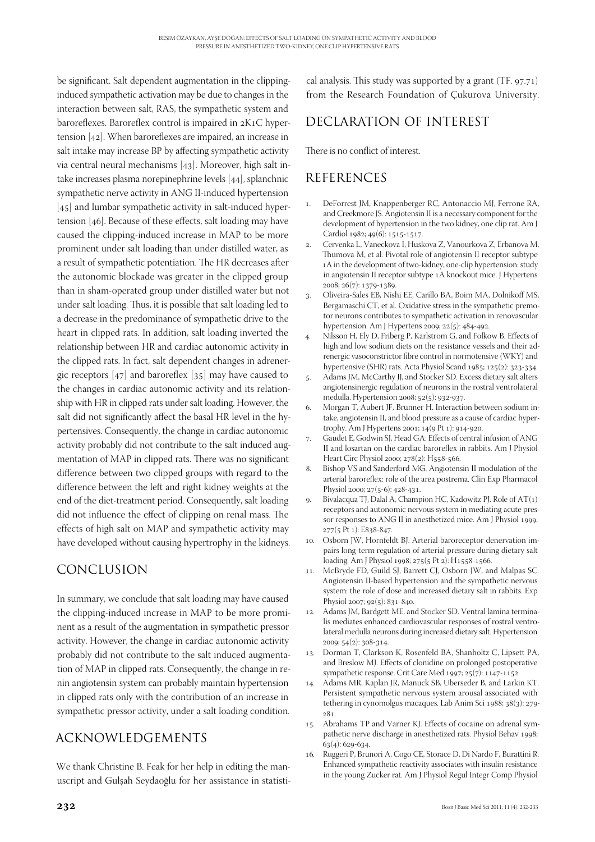be significant. Salt dependent augmentation in the clippinginduced sympathetic activation may be due to changes in the interaction between salt, RAS, the sympathetic system and baroreflexes. Baroreflex control is impaired in 2K1C hypertension [42]. When baroreflexes are impaired, an increase in salt intake may increase BP by affecting sympathetic activity via central neural mechanisms [43]. Moreover, high salt intake increases plasma norepinephrine levels [44], splanchnic sympathetic nerve activity in ANG II-induced hypertension [45] and lumbar sympathetic activity in salt-induced hypertension [46]. Because of these effects, salt loading may have caused the clipping-induced increase in MAP to be more prominent under salt loading than under distilled water, as a result of sympathetic potentiation. The HR decreases after the autonomic blockade was greater in the clipped group than in sham-operated group under distilled water but not under salt loading. Thus, it is possible that salt loading led to a decrease in the predominance of sympathetic drive to the heart in clipped rats. In addition, salt loading inverted the relationship between HR and cardiac autonomic activity in the clipped rats. In fact, salt dependent changes in adrenergic receptors [47] and baroreflex [35] may have caused to the changes in cardiac autonomic activity and its relationship with HR in clipped rats under salt loading. However, the salt did not significantly affect the basal HR level in the hypertensives. Consequently, the change in cardiac autonomic activity probably did not contribute to the salt induced augmentation of MAP in clipped rats. There was no significant difference between two clipped groups with regard to the difference between the left and right kidney weights at the end of the diet-treatment period. Consequently, salt loading did not influence the effect of clipping on renal mass. The effects of high salt on MAP and sympathetic activity may have developed without causing hypertrophy in the kidneys.

# Conclusion

In summary, we conclude that salt loading may have caused the clipping-induced increase in MAP to be more prominent as a result of the augmentation in sympathetic pressor activity. However, the change in cardiac autonomic activity probably did not contribute to the salt induced augmentation of MAP in clipped rats. Consequently, the change in renin angiotensin system can probably maintain hypertension in clipped rats only with the contribution of an increase in sympathetic pressor activity, under a salt loading condition.

# Acknowledgements

We thank Christine B. Feak for her help in editing the manuscript and Gulşah Seydaoğlu for her assistance in statistical analysis. This study was supported by a grant (TF. 97.71) from the Research Foundation of Çukurova University.

# Declaration of interest

There is no conflict of interest.

## **REFERENCES**

- 1. DeForrest JM, Knappenberger RC, Antonaccio MJ, Ferrone RA, and Creekmore JS. Angiotensin II is a necessary component for the development of hypertension in the two kidney, one clip rat. Am J Cardiol 1982; 49(6): 1515-1517.
- 2. Cervenka L, Vaneckova I, Huskova Z, Vanourkova Z, Erbanova M, Thumova M, et al. Pivotal role of angiotensin II receptor subtype 1A in the development of two-kidney, one-clip hypertension: study in angiotensin II receptor subtype 1A knockout mice. J Hypertens 2008; 26(7): 1379-1389.
- 3. Oliveira-Sales EB, Nishi EE, Carillo BA, Boim MA, Dolnikoff MS, Bergamaschi CT, et al. Oxidative stress in the sympathetic premotor neurons contributes to sympathetic activation in renovascular hypertension. Am J Hypertens 2009; 22(5): 484-492.
- 4. Nilsson H, Ely D, Friberg P, Karlstrom G, and Folkow B. Effects of high and low sodium diets on the resistance vessels and their adrenergic vasoconstrictor fibre control in normotensive (WKY) and hypertensive (SHR) rats. Acta Physiol Scand 1985; 125(2): 323-334.
- 5. Adams JM, McCarthy JJ, and Stocker SD. Excess dietary salt alters angiotensinergic regulation of neurons in the rostral ventrolateral medulla. Hypertension 2008; 52(5): 932-937.
- 6. Morgan T, Aubert JF, Brunner H. Interaction between sodium intake, angiotensin II, and blood pressure as a cause of cardiac hypertrophy. Am J Hypertens 2001; 14(9 Pt 1): 914-920.
- 7. Gaudet E, Godwin SJ, Head GA. Effects of central infusion of ANG II and losartan on the cardiac baroreflex in rabbits. Am J Physiol Heart Circ Physiol 2000; 278(2): H558-566.
- 8. Bishop VS and Sanderford MG. Angiotensin II modulation of the arterial baroreflex: role of the area postrema. Clin Exp Pharmacol Physiol 2000; 27(5-6): 428-431.
- 9. Bivalacqua TJ, Dalal A, Champion HC, Kadowitz PJ. Role of AT(1) receptors and autonomic nervous system in mediating acute pressor responses to ANG II in anesthetized mice. Am J Physiol 1999; 277(5 Pt 1): E838-847.
- 10. Osborn JW, Hornfeldt BJ. Arterial baroreceptor denervation impairs long-term regulation of arterial pressure during dietary salt loading. Am J Physiol 1998; 275(5 Pt 2): H1558-1566.
- 11. McBryde FD, Guild SJ, Barrett CJ, Osborn JW, and Malpas SC. Angiotensin II-based hypertension and the sympathetic nervous system: the role of dose and increased dietary salt in rabbits. Exp Physiol 2007; 92(5): 831-840.
- 12. Adams JM, Bardgett ME, and Stocker SD. Ventral lamina terminalis mediates enhanced cardiovascular responses of rostral ventrolateral medulla neurons during increased dietary salt. Hypertension  $2009$ ;  $54(2)$ ;  $308-314$ .
- 13. Dorman T, Clarkson K, Rosenfeld BA, Shanholtz C, Lipsett PA, and Breslow MJ. Effects of clonidine on prolonged postoperative sympathetic response. Crit Care Med 1997; 25(7): 1147-1152.
- 14. Adams MR, Kaplan JR, Manuck SB, Uberseder B, and Larkin KT. Persistent sympathetic nervous system arousal associated with tethering in cynomolgus macaques. Lab Anim Sci 1988; 38(3): 279- 281.
- 15. Abrahams TP and Varner KJ. Effects of cocaine on adrenal sympathetic nerve discharge in anesthetized rats. Physiol Behav 1998;  $63(4): 629-634.$
- 16. Ruggeri P, Brunori A, Cogo CE, Storace D, Di Nardo F, Burattini R. Enhanced sympathetic reactivity associates with insulin resistance in the young Zucker rat. Am J Physiol Regul Integr Comp Physiol